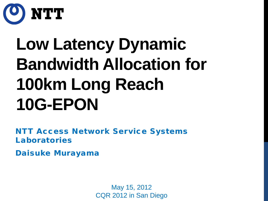

# **Low Latency Dynamic Bandwidth Allocation for 100km Long Reach 10G-EPON**

NTT Access Network Service Systems Laboratories

Daisuke Murayama

May 15, 2012 CQR 2012 in San Diego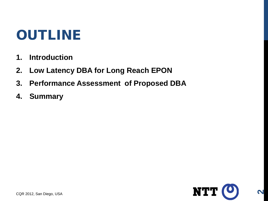- **1. Introduction**
- **2. Low Latency DBA for Long Reach EPON**
- **3. Performance Assessment of Proposed DBA**
- **4. Summary**

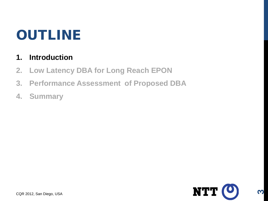#### **1. Introduction**

- **2. Low Latency DBA for Long Reach EPON**
- **3. Performance Assessment of Proposed DBA**
- **4. Summary**

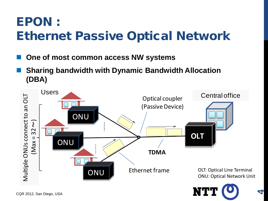### EPON : Ethernet Passive Optical Network

- **One of most common access NW systems**
- **Sharing bandwidth with Dynamic Bandwidth Allocation (DBA)**

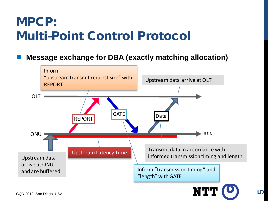#### MPCP: Multi-Point Control Protocol

**Message exchange for DBA (exactly matching allocation)**

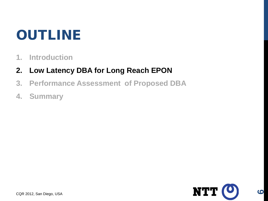- **1. Introduction**
- **2. Low Latency DBA for Long Reach EPON**
- **3. Performance Assessment of Proposed DBA**
- **4. Summary**

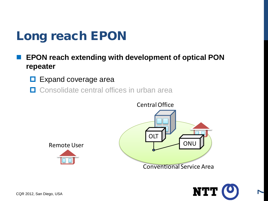- **EPON reach extending with development of optical PON repeater** 
	- **Expand coverage area**
	- **□** Consolidate central offices in urban area



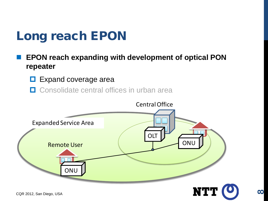- **EPON reach expanding with development of optical PON repeater** 
	- **Expand coverage area**
	- **□** Consolidate central offices in urban area

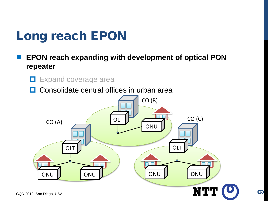- **EPON reach expanding with development of optical PON repeater** 
	- $\Box$  Expand coverage area

**□** Consolidate central offices in urban area

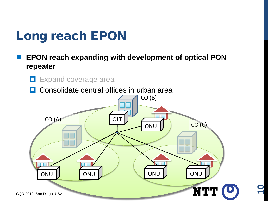- **EPON reach expanding with development of optical PON repeater** 
	- $\Box$  Expand coverage area

**□** Consolidate central offices in urban area

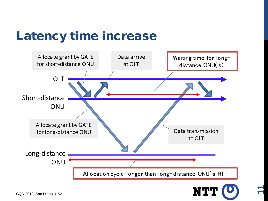#### Latency time increase





**11**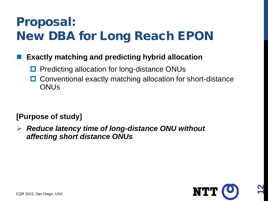### Proposal: New DBA for Long Reach EPON

#### **Exactly matching and predicting hybrid allocation**

- Predicting allocation for long-distance ONUs
- **□** Conventional exactly matching allocation for short-distance **ONU<sub>s</sub>**

#### **[Purpose of study]**

 *Reduce latency time of long-distance ONU without affecting short distance ONUs*

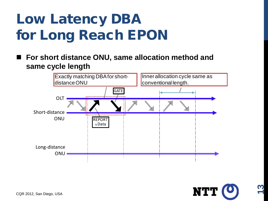## Low Latency DBA for Long Reach EPON

 **For short distance ONU, same allocation method and same cycle length** 



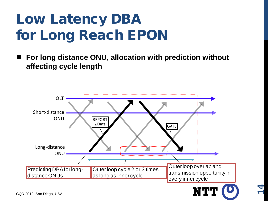## Low Latency DBA for Long Reach EPON

 **For long distance ONU, allocation with prediction without affecting cycle length** 



**14**

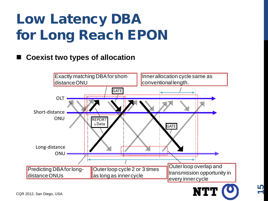## Low Latency DBA for Long Reach EPON

#### **Coexist two types of allocation**





**15**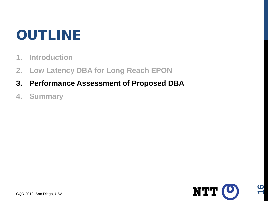- **1. Introduction**
- **2. Low Latency DBA for Long Reach EPON**
- **3. Performance Assessment of Proposed DBA**
- **4. Summary**

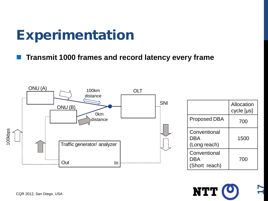## **Experimentation**

**Transmit 1000 frames and record latency every frame**



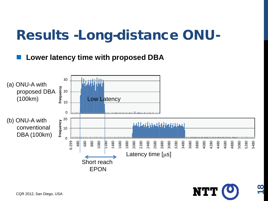### Results -Long-distance ONU-

#### **Lower latency time with proposed DBA**



NT'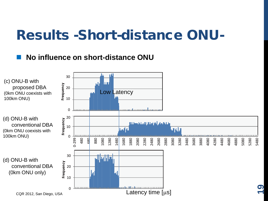### Results -Short-distance ONU-

#### **No influence on short-distance ONU**

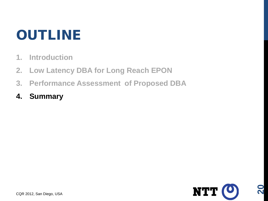- **1. Introduction**
- **2. Low Latency DBA for Long Reach EPON**
- **3. Performance Assessment of Proposed DBA**
- **4. Summary**

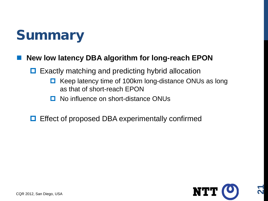

#### **New low latency DBA algorithm for long-reach EPON**

- $\Box$  Exactly matching and predicting hybrid allocation
	- $\Box$  Keep latency time of 100km long-distance ONUs as long as that of short-reach EPON
	- **□** No influence on short-distance ONUs
- **□** Effect of proposed DBA experimentally confirmed